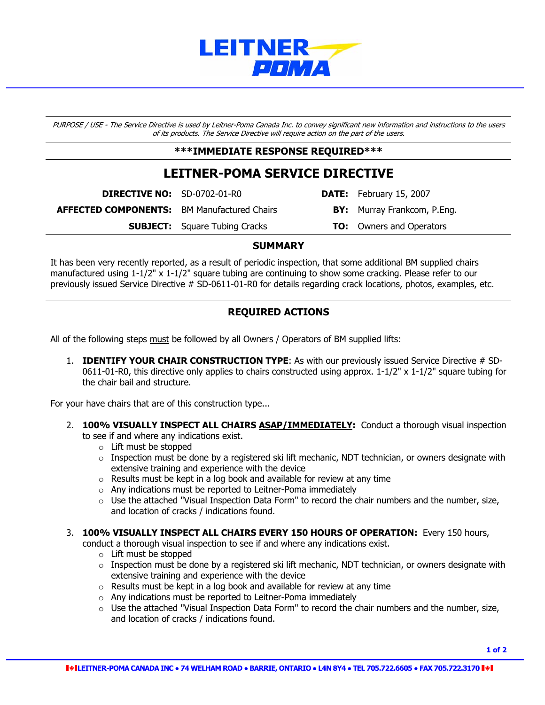

PURPOSE / USE - The Service Directive is used by Leitner-Poma Canada Inc. to convey significant new information and instructions to the users of its products. The Service Directive will require action on the part of the users.

#### **\*\*\*IMMEDIATE RESPONSE REQUIRED\*\*\***

## **LEITNER-POMA SERVICE DIRECTIVE**

**DIRECTIVE NO:** SD-0702-01-R0 **DATE:** February 15, 2007

**AFFECTED COMPONENTS:** BM Manufactured Chairs **BY:** Murray Frankcom, P.Eng.

**SUBJECT:** Square Tubing Cracks **TO:** Owners and Operators

#### **SUMMARY**

It has been very recently reported, as a result of periodic inspection, that some additional BM supplied chairs manufactured using 1-1/2" x 1-1/2" square tubing are continuing to show some cracking. Please refer to our previously issued Service Directive # SD-0611-01-R0 for details regarding crack locations, photos, examples, etc.

### **REQUIRED ACTIONS**

All of the following steps must be followed by all Owners / Operators of BM supplied lifts:

1. **IDENTIFY YOUR CHAIR CONSTRUCTION TYPE**: As with our previously issued Service Directive # SD-0611-01-R0, this directive only applies to chairs constructed using approx.  $1-1/2$ " x  $1-1/2$ " square tubing for the chair bail and structure.

For your have chairs that are of this construction type...

- 2. **100% VISUALLY INSPECT ALL CHAIRS ASAP/IMMEDIATELY:** Conduct a thorough visual inspection to see if and where any indications exist.
	- o Lift must be stopped
	- $\circ$  Inspection must be done by a registered ski lift mechanic, NDT technician, or owners designate with extensive training and experience with the device
	- o Results must be kept in a log book and available for review at any time
	- o Any indications must be reported to Leitner-Poma immediately
	- $\circ$  Use the attached "Visual Inspection Data Form" to record the chair numbers and the number, size, and location of cracks / indications found.
- 3. **100% VISUALLY INSPECT ALL CHAIRS EVERY 150 HOURS OF OPERATION:** Every 150 hours,

conduct a thorough visual inspection to see if and where any indications exist.

- o Lift must be stopped
- $\circ$  Inspection must be done by a registered ski lift mechanic, NDT technician, or owners designate with extensive training and experience with the device
- o Results must be kept in a log book and available for review at any time
- o Any indications must be reported to Leitner-Poma immediately
- $\circ$  Use the attached "Visual Inspection Data Form" to record the chair numbers and the number, size, and location of cracks / indications found.